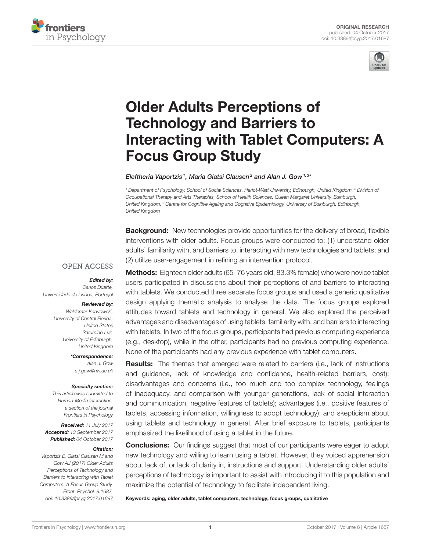



# Older Adults Perceptions of Technology and Barriers to [Interacting with Tablet Computers: A](http://journal.frontiersin.org/article/10.3389/fpsyg.2017.01687/abstract) Focus Group Study

[Eleftheria Vaportzis](http://loop.frontiersin.org/people/64311/overview)1, [Maria Giatsi Clausen](http://loop.frontiersin.org/people/472830/overview) $^{\mathsf{2}}$  and [Alan J. Gow](http://loop.frontiersin.org/people/121224/overview) $^{\mathsf{1,3}}$ 

*<sup>1</sup> Department of Psychology, School of Social Sciences, Heriot-Watt University, Edinburgh, United Kingdom, <sup>2</sup> Division of Occupational Therapy and Arts Therapies, School of Health Sciences, Queen Margaret University, Edinburgh, United Kingdom, <sup>3</sup> Centre for Cognitive Ageing and Cognitive Epidemiology, University of Edinburgh, Edinburgh, United Kingdom*

**Background:** New technologies provide opportunities for the delivery of broad, flexible interventions with older adults. Focus groups were conducted to: (1) understand older adults' familiarity with, and barriers to, interacting with new technologies and tablets; and (2) utilize user-engagement in refining an intervention protocol.

# **OPEN ACCESS**

#### Edited by:

*Carlos Duarte, Universidade de Lisboa, Portugal*

#### Reviewed by:

*Waldemar Karwowski, University of Central Florida, United States Saturnino Luz, University of Edinburgh, United Kingdom*

> \*Correspondence: *Alan J. Gow [a.j.gow@hw.ac.uk](mailto:a.j.gow@hw.ac.uk)*

#### Specialty section:

*This article was submitted to Human-Media Interaction, a section of the journal Frontiers in Psychology*

Received: *11 July 2017* Accepted: *13 September 2017* Published: *04 October 2017*

#### Citation:

*Vaportzis E, Giatsi Clausen M and Gow AJ (2017) Older Adults Perceptions of Technology and Barriers to Interacting with Tablet Computers: A Focus Group Study. Front. Psychol. 8:1687. doi: [10.3389/fpsyg.2017.01687](https://doi.org/10.3389/fpsyg.2017.01687)*

Methods: Eighteen older adults (65-76 years old; 83.3% female) who were novice tablet users participated in discussions about their perceptions of and barriers to interacting with tablets. We conducted three separate focus groups and used a generic qualitative design applying thematic analysis to analyse the data. The focus groups explored attitudes toward tablets and technology in general. We also explored the perceived advantages and disadvantages of using tablets, familiarity with, and barriers to interacting with tablets. In two of the focus groups, participants had previous computing experience (e.g., desktop), while in the other, participants had no previous computing experience. None of the participants had any previous experience with tablet computers.

**Results:** The themes that emerged were related to barriers (i.e., lack of instructions and guidance, lack of knowledge and confidence, health-related barriers, cost); disadvantages and concerns (i.e., too much and too complex technology, feelings of inadequacy, and comparison with younger generations, lack of social interaction and communication, negative features of tablets); advantages (i.e., positive features of tablets, accessing information, willingness to adopt technology); and skepticism about using tablets and technology in general. After brief exposure to tablets, participants emphasized the likelihood of using a tablet in the future.

**Conclusions:** Our findings suggest that most of our participants were eager to adopt new technology and willing to learn using a tablet. However, they voiced apprehension about lack of, or lack of clarity in, instructions and support. Understanding older adults' perceptions of technology is important to assist with introducing it to this population and maximize the potential of technology to facilitate independent living.

Keywords: aging, older adults, tablet computers, technology, focus groups, qualitative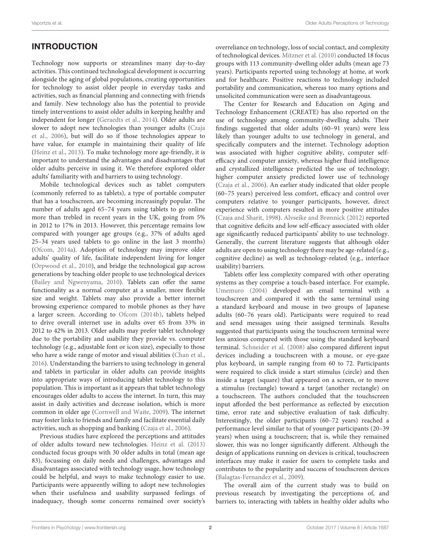# INTRODUCTION

Technology now supports or streamlines many day-to-day activities. This continued technological development is occurring alongside the aging of global populations, creating opportunities for technology to assist older people in everyday tasks and activities, such as financial planning and connecting with friends and family. New technology also has the potential to provide timely interventions to assist older adults in keeping healthy and independent for longer [\(Geraedts et al., 2014\)](#page-10-0). Older adults are slower to adopt new technologies than younger adults (Czaja et al., [2006\)](#page-10-1), but will do so if those technologies appear to have value, for example in maintaining their quality of life [\(Heinz et al., 2013\)](#page-10-2). To make technology more age-friendly, it is important to understand the advantages and disadvantages that older adults perceive in using it. We therefore explored older adults' familiarity with and barriers to using technology.

Mobile technological devices such as tablet computers (commonly referred to as tablets), a type of portable computer that has a touchscreen, are becoming increasingly popular. The number of adults aged 65–74 years using tablets to go online more than trebled in recent years in the UK, going from 5% in 2012 to 17% in 2013. However, this percentage remains low compared with younger age groups (e.g., 37% of adults aged 25–34 years used tablets to go online in the last 3 months) [\(Ofcom, 2014a\)](#page-10-3). Adoption of technology may improve older adults' quality of life, facilitate independent living for longer [\(Orpwood et al., 2010\)](#page-10-4), and bridge the technological gap across generations by teaching older people to use technological devices [\(Bailey and Ngwenyama, 2010\)](#page-10-5). Tablets can offer the same functionality as a normal computer at a smaller, more flexible size and weight. Tablets may also provide a better internet browsing experience compared to mobile phones as they have a larger screen. According to [Ofcom \(2014b\)](#page-10-6), tablets helped to drive overall internet use in adults over 65 from 33% in 2012 to 42% in 2013. Older adults may prefer tablet technology due to the portability and usability they provide vs. computer technology (e.g., adjustable font or icon size), especially to those who have a wide range of motor and visual abilities [\(Chan et al.,](#page-10-7) [2016\)](#page-10-7). Understanding the barriers to using technology in general and tablets in particular in older adults can provide insights into appropriate ways of introducing tablet technology to this population. This is important as it appears that tablet technology encourages older adults to access the internet. In turn, this may assist in daily activities and decrease isolation, which is more common in older age [\(Cornwell and Waite, 2009\)](#page-10-8). The internet may foster links to friends and family and facilitate essential daily activities, such as shopping and banking [\(Czaja et al., 2006\)](#page-10-1).

Previous studies have explored the perceptions and attitudes of older adults toward new technologies. [Heinz et al. \(2013\)](#page-10-2) conducted focus groups with 30 older adults in total (mean age 83), focussing on daily needs and challenges, advantages and disadvantages associated with technology usage, how technology could be helpful, and ways to make technology easier to use. Participants were apparently willing to adopt new technologies when their usefulness and usability surpassed feelings of inadequacy, though some concerns remained over society's overreliance on technology, loss of social contact, and complexity of technological devices. [Mitzner et al. \(2010\)](#page-10-9) conducted 18 focus groups with 113 community-dwelling older adults (mean age 73 years). Participants reported using technology at home, at work and for healthcare. Positive reactions to technology included portability and communication, whereas too many options and unsolicited communication were seen as disadvantageous.

The Center for Research and Education on Aging and Technology Enhancement (CREATE) has also reported on the use of technology among community-dwelling adults. Their findings suggested that older adults (60–91 years) were less likely than younger adults to use technology in general, and specifically computers and the internet. Technology adoption was associated with higher cognitive ability, computer selfefficacy and computer anxiety, whereas higher fluid intelligence and crystallized intelligence predicted the use of technology; higher computer anxiety predicted lower use of technology [\(Czaja et al., 2006\)](#page-10-1). An earlier study indicated that older people (60–75 years) perceived less comfort, efficacy and control over computers relative to younger participants, however, direct experience with computers resulted in more positive attitudes [\(Czaja and Sharit, 1998\)](#page-10-10). [Alvseike and Brønnick \(2012\)](#page-10-11) reported that cognitive deficits and low self-efficacy associated with older age significantly reduced participants' ability to use technology. Generally, the current literature suggests that although older adults are open to using technology there may be age-related (e.g., cognitive decline) as well as technology-related (e.g., interface usability) barriers.

Tablets offer less complexity compared with other operating systems as they comprise a touch-based interface. For example, [Umemuro \(2004\)](#page-10-12) developed an email terminal with a touchscreen and compared it with the same terminal using a standard keyboard and mouse in two groups of Japanese adults (60–76 years old). Participants were required to read and send messages using their assigned terminals. Results suggested that participants using the touchscreen terminal were less anxious compared with those using the standard keyboard terminal. [Schneider et al. \(2008\)](#page-10-13) also compared different input devices including a touchscreen with a mouse, or eye-gaze plus keyboard, in sample ranging from 60 to 72. Participants were required to click inside a start stimulus (circle) and then inside a target (square) that appeared on a screen, or to move a stimulus (rectangle) toward a target (another rectangle) on a touchscreen. The authors concluded that the touchscreen input afforded the best performance as reflected by execution time, error rate and subjective evaluation of task difficulty. Interestingly, the older participants (60–72 years) reached a performance level similar to that of younger participants (20–39 years) when using a touchscreen; that is, while they remained slower, this was no longer significantly different. Although the design of applications running on devices is critical, touchscreen interfaces may make it easier for users to complete tasks and contributes to the popularity and success of touchscreen devices [\(Balagtas-Fernandez et al., 2009\)](#page-10-14).

The overall aim of the current study was to build on previous research by investigating the perceptions of, and barriers to, interacting with tablets in healthy older adults who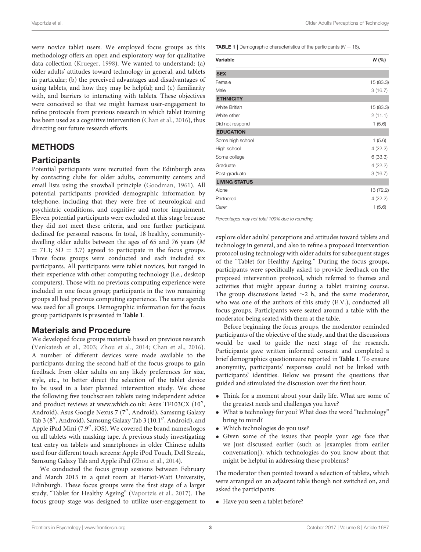were novice tablet users. We employed focus groups as this methodology offers an open and exploratory way for qualitative data collection [\(Krueger, 1998\)](#page-10-15). We wanted to understand: (a) older adults' attitudes toward technology in general, and tablets in particular; (b) the perceived advantages and disadvantages of using tablets, and how they may be helpful; and (c) familiarity with, and barriers to interacting with tablets. These objectives were conceived so that we might harness user-engagement to refine protocols from previous research in which tablet training has been used as a cognitive intervention [\(Chan et al., 2016\)](#page-10-7), thus directing our future research efforts.

## METHODS

### **Participants**

Potential participants were recruited from the Edinburgh area by contacting clubs for older adults, community centers and email lists using the snowball principle [\(Goodman, 1961\)](#page-10-16). All potential participants provided demographic information by telephone, including that they were free of neurological and psychiatric conditions, and cognitive and motor impairment. Eleven potential participants were excluded at this stage because they did not meet these criteria, and one further participant declined for personal reasons. In total, 18 healthy, communitydwelling older adults between the ages of 65 and 76 years (M  $= 71.1$ ; SD  $= 3.7$ ) agreed to participate in the focus groups. Three focus groups were conducted and each included six participants. All participants were tablet novices, but ranged in their experience with other computing technology (i.e., desktop computers). Those with no previous computing experience were included in one focus group; participants in the two remaining groups all had previous computing experience. The same agenda was used for all groups. Demographic information for the focus group participants is presented in **[Table 1](#page-2-0)**.

### Materials and Procedure

We developed focus groups materials based on previous research [\(Venkatesh et al., 2003;](#page-10-17) [Zhou et al., 2014;](#page-10-18) [Chan et al., 2016\)](#page-10-7). A number of different devices were made available to the participants during the second half of the focus groups to gain feedback from older adults on any likely preferences for size, style, etc., to better direct the selection of the tablet device to be used in a later planned intervention study. We chose the following five touchscreen tablets using independent advice and product reviews at [www.which.co.uk:](www.which.co.uk) Asus TF103CX (10", Android), Asus Google Nexus 7 (7′′, Android), Samsung Galaxy Tab 3 (8′′, Android), Samsung Galaxy Tab 3 (10.1′′, Android), and Apple iPad Mini (7.9′′, iOS). We covered the brand names/logos on all tablets with masking tape. A previous study investigating text entry on tablets and smartphones in older Chinese adults used four different touch screens: Apple iPod Touch, Dell Streak, Samsung Galaxy Tab and Apple iPad [\(Zhou et al., 2014\)](#page-10-18).

We conducted the focus group sessions between February and March 2015 in a quiet room at Heriot-Watt University, Edinburgh. These focus groups were the first stage of a larger study, "Tablet for Healthy Ageing" [\(Vaportzis et al., 2017\)](#page-10-19). The focus group stage was designed to utilize user-engagement to <span id="page-2-0"></span>**TABLE 1** | Demographic characteristics of the participants ( $N = 18$ ).

| Variable             | N(%       |
|----------------------|-----------|
| <b>SEX</b>           |           |
| Female               | 15 (83.3) |
| Male                 | 3(16.7)   |
| <b>ETHNICITY</b>     |           |
| <b>White British</b> | 15 (83.3) |
| White other          | 2(11.1)   |
| Did not respond      | 1(5.6)    |
| <b>EDUCATION</b>     |           |
| Some high school     | 1(5.6)    |
| High school          | 4(22.2)   |
| Some college         | 6(33.3)   |
| Graduate             | 4(22.2)   |
| Post-graduate        | 3(16.7)   |
| <b>LIVING STATUS</b> |           |
| Alone                | 13 (72.2) |
| Partnered            | 4(22.2)   |
| Carer                | 1(5.6)    |

*Percentages may not total 100% due to rounding.*

explore older adults' perceptions and attitudes toward tablets and technology in general, and also to refine a proposed intervention protocol using technology with older adults for subsequent stages of the "Tablet for Healthy Ageing." During the focus groups, participants were specifically asked to provide feedback on the proposed intervention protocol, which referred to themes and activities that might appear during a tablet training course. The group discussions lasted ∼2 h, and the same moderator, who was one of the authors of this study (E.V.), conducted all focus groups. Participants were seated around a table with the moderator being seated with them at the table.

Before beginning the focus groups, the moderator reminded participants of the objective of the study, and that the discussions would be used to guide the next stage of the research. Participants gave written informed consent and completed a brief demographics questionnaire reported in **[Table 1](#page-2-0)**. To ensure anonymity, participants' responses could not be linked with participants' identities. Below we present the questions that guided and stimulated the discussion over the first hour.

- Think for a moment about your daily life. What are some of the greatest needs and challenges you have?
- What is technology for you? What does the word "technology" bring to mind?
- Which technologies do you use?
- Given some of the issues that people your age face that we just discussed earlier (such as [examples from earlier conversation]), which technologies do you know about that might be helpful in addressing these problems?

The moderator then pointed toward a selection of tablets, which were arranged on an adjacent table though not switched on, and asked the participants:

• Have you seen a tablet before?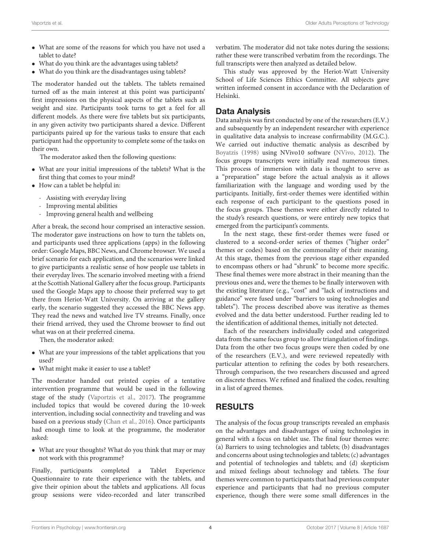- What are some of the reasons for which you have not used a tablet to date?
- What do you think are the advantages using tablets?
- What do you think are the disadvantages using tablets?

The moderator handed out the tablets. The tablets remained turned off as the main interest at this point was participants' first impressions on the physical aspects of the tablets such as weight and size. Participants took turns to get a feel for all different models. As there were five tablets but six participants, in any given activity two participants shared a device. Different participants paired up for the various tasks to ensure that each participant had the opportunity to complete some of the tasks on their own.

The moderator asked then the following questions:

- What are your initial impressions of the tablets? What is the first thing that comes to your mind?
- How can a tablet be helpful in:
	- Assisting with everyday living
	- Improving mental abilities
	- Improving general health and wellbeing

After a break, the second hour comprised an interactive session. The moderator gave instructions on how to turn the tablets on, and participants used three applications (apps) in the following order: Google Maps, BBC News, and Chrome browser. We used a brief scenario for each application, and the scenarios were linked to give participants a realistic sense of how people use tablets in their everyday lives. The scenario involved meeting with a friend at the Scottish National Gallery after the focus group. Participants used the Google Maps app to choose their preferred way to get there from Heriot-Watt University. On arriving at the gallery early, the scenario suggested they accessed the BBC News app. They read the news and watched live TV streams. Finally, once their friend arrived, they used the Chrome browser to find out what was on at their preferred cinema.

Then, the moderator asked:

- What are your impressions of the tablet applications that you used?
- What might make it easier to use a tablet?

The moderator handed out printed copies of a tentative intervention programme that would be used in the following stage of the study [\(Vaportzis et al., 2017\)](#page-10-19). The programme included topics that would be covered during the 10-week intervention, including social connectivity and traveling and was based on a previous study [\(Chan et al., 2016\)](#page-10-7). Once participants had enough time to look at the programme, the moderator asked:

• What are your thoughts? What do you think that may or may not work with this programme?

Finally, participants completed a Tablet Experience Questionnaire to rate their experience with the tablets, and give their opinion about the tablets and applications. All focus group sessions were video-recorded and later transcribed verbatim. The moderator did not take notes during the sessions; rather these were transcribed verbatim from the recordings. The full transcripts were then analyzed as detailed below.

This study was approved by the Heriot-Watt University School of Life Sciences Ethics Committee. All subjects gave written informed consent in accordance with the Declaration of Helsinki.

# Data Analysis

Data analysis was first conducted by one of the researchers (E.V.) and subsequently by an independent researcher with experience in qualitative data analysis to increase confirmability (M.G.C.). We carried out inductive thematic analysis as described by [Boyatzis \(1998\)](#page-10-20) using NVivo10 software [\(NVivo, 2012\)](#page-10-21). The focus groups transcripts were initially read numerous times. This process of immersion with data is thought to serve as a "preparation" stage before the actual analysis as it allows familiarization with the language and wording used by the participants. Initially, first-order themes were identified within each response of each participant to the questions posed in the focus groups. These themes were either directly related to the study's research questions, or were entirely new topics that emerged from the participant's comments.

In the next stage, these first-order themes were fused or clustered to a second-order series of themes ("higher order" themes or codes) based on the commonality of their meaning. At this stage, themes from the previous stage either expanded to encompass others or had "shrunk" to become more specific. These final themes were more abstract in their meaning than the previous ones and, were the themes to be finally interwoven with the existing literature (e.g., "cost" and "lack of instructions and guidance" were fused under "barriers to using technologies and tablets"). The process described above was iterative as themes evolved and the data better understood. Further reading led to the identification of additional themes, initially not detected.

Each of the researchers individually coded and categorized data from the same focus group to allow triangulation of findings. Data from the other two focus groups were then coded by one of the researchers (E.V.), and were reviewed repeatedly with particular attention to refining the codes by both researchers. Through comparison, the two researchers discussed and agreed on discrete themes. We refined and finalized the codes, resulting in a list of agreed themes.

# RESULTS

The analysis of the focus group transcripts revealed an emphasis on the advantages and disadvantages of using technologies in general with a focus on tablet use. The final four themes were: (a) Barriers to using technologies and tablets; (b) disadvantages and concerns about using technologies and tablets; (c) advantages and potential of technologies and tablets; and (d) skepticism and mixed feelings about technology and tablets. The four themes were common to participants that had previous computer experience and participants that had no previous computer experience, though there were some small differences in the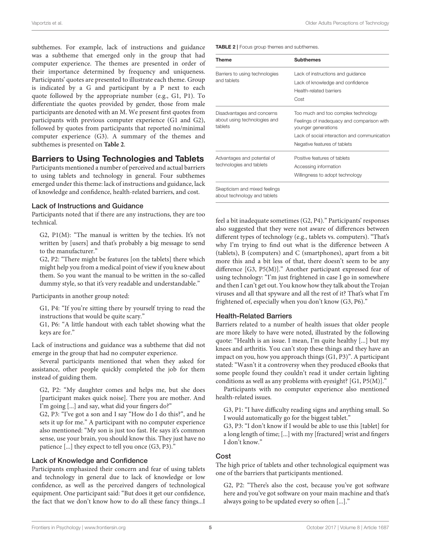subthemes. For example, lack of instructions and guidance was a subtheme that emerged only in the group that had computer experience. The themes are presented in order of their importance determined by frequency and uniqueness. Participants' quotes are presented to illustrate each theme. Group is indicated by a G and participant by a P next to each quote followed by the appropriate number (e.g., G1, P1). To differentiate the quotes provided by gender, those from male participants are denoted with an M. We present first quotes from participants with previous computer experience (G1 and G2), followed by quotes from participants that reported no/minimal computer experience (G3). A summary of the themes and subthemes is presented on **[Table 2](#page-4-0)**.

### Barriers to Using Technologies and Tablets

Participants mentioned a number of perceived and actual barriers to using tablets and technology in general. Four subthemes emerged under this theme: lack of instructions and guidance, lack of knowledge and confidence, health-related barriers, and cost.

#### Lack of Instructions and Guidance

Participants noted that if there are any instructions, they are too technical.

G2, P1(M): "The manual is written by the techies. It's not written by [users] and that's probably a big message to send to the manufacturer."

G2, P2: "There might be features [on the tablets] there which might help you from a medical point of view if you knew about them. So you want the manual to be written in the so-called dummy style, so that it's very readable and understandable."

Participants in another group noted:

G1, P4: "If you're sitting there by yourself trying to read the instructions that would be quite scary."

G1, P6: "A little handout with each tablet showing what the keys are for."

Lack of instructions and guidance was a subtheme that did not emerge in the group that had no computer experience.

Several participants mentioned that when they asked for assistance, other people quickly completed the job for them instead of guiding them.

G2, P2: "My daughter comes and helps me, but she does [participant makes quick noise]. There you are mother. And I'm going [...] and say, what did your fingers do?"

G2, P3: "I've got a son and I say "How do I do this?", and he sets it up for me." A participant with no computer experience also mentioned: "My son is just too fast. He says it's common sense, use your brain, you should know this. They just have no patience [...] they expect to tell you once (G3, P3)."

#### Lack of Knowledge and Confidence

Participants emphasized their concern and fear of using tablets and technology in general due to lack of knowledge or low confidence, as well as the perceived dangers of technological equipment. One participant said: "But does it get our confidence, the fact that we don't know how to do all these fancy things...I <span id="page-4-0"></span>TABLE 2 | Focus group themes and subthemes.

| Theme                                                                 | <b>Subthemes</b>                                                  |
|-----------------------------------------------------------------------|-------------------------------------------------------------------|
| Barriers to using technologies<br>and tablets                         | Lack of instructions and guidance                                 |
|                                                                       | Lack of knowledge and confidence                                  |
|                                                                       | Health-related barriers                                           |
|                                                                       | Cost                                                              |
| Disadvantages and concerns<br>about using technologies and<br>tablets | Too much and too complex technology                               |
|                                                                       | Feelings of inadequacy and comparison with<br>younger generations |
|                                                                       | Lack of social interaction and communication                      |
|                                                                       | Negative features of tablets                                      |
| Advantages and potential of<br>technologies and tablets               | Positive features of tablets                                      |
|                                                                       | Accessing information                                             |
|                                                                       | Willingness to adopt technology                                   |

about technology and tablets

feel a bit inadequate sometimes (G2, P4)." Participants' responses also suggested that they were not aware of differences between different types of technology (e.g., tablets vs. computers). "That's why I'm trying to find out what is the difference between A (tablets), B (computers) and C (smartphones), apart from a bit more this and a bit less of that, there doesn't seem to be any difference [G3, P5(M)]." Another participant expressed fear of using technology: "I'm just frightened in case I go in somewhere and then I can't get out. You know how they talk about the Trojan viruses and all that spyware and all the rest of it? That's what I'm frightened of, especially when you don't know (G3, P6)."

#### Health-Related Barriers

Barriers related to a number of health issues that older people are more likely to have were noted, illustrated by the following quote: "Health is an issue. I mean, I'm quite healthy [...] but my knees and arthritis. You can't stop these things and they have an impact on you, how you approach things (G1, P3)". A participant stated: "Wasn't it a controversy when they produced eBooks that some people found they couldn't read it under certain lighting conditions as well as any problems with eyesight? [G1, P5(M)]."

Participants with no computer experience also mentioned health-related issues.

G3, P1: "I have difficulty reading signs and anything small. So I would automatically go for the biggest tablet."

G3, P3: "I don't know if I would be able to use this [tablet] for a long length of time; [...] with my [fractured] wrist and fingers I don't know."

#### Cost

The high price of tablets and other technological equipment was one of the barriers that participants mentioned.

G2, P2: "There's also the cost, because you've got software here and you've got software on your main machine and that's always going to be updated every so often [...]."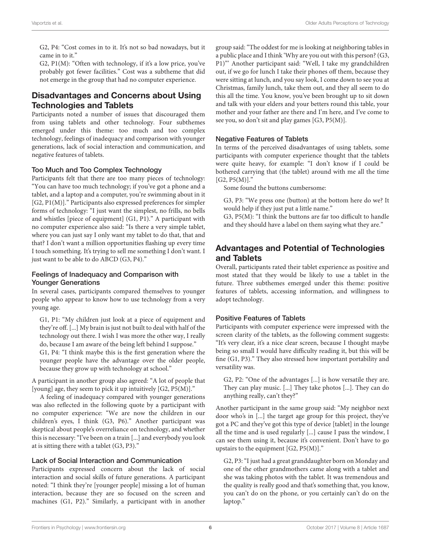G2, P4: "Cost comes in to it. It's not so bad nowadays, but it came in to it."

G2, P1(M): "Often with technology, if it's a low price, you've probably got fewer facilities." Cost was a subtheme that did not emerge in the group that had no computer experience.

# Disadvantages and Concerns about Using Technologies and Tablets

Participants noted a number of issues that discouraged them from using tablets and other technology. Four subthemes emerged under this theme: too much and too complex technology, feelings of inadequacy and comparison with younger generations, lack of social interaction and communication, and negative features of tablets.

#### Too Much and Too Complex Technology

Participants felt that there are too many pieces of technology: "You can have too much technology; if you've got a phone and a tablet, and a laptop and a computer, you're swimming about in it [G2, P1(M)]." Participants also expressed preferences for simpler forms of technology: "I just want the simplest, no frills, no bells and whistles [piece of equipment] (G1, P1)." A participant with no computer experience also said: "Is there a very simple tablet, where you can just say I only want my tablet to do that, that and that? I don't want a million opportunities flashing up every time I touch something. It's trying to sell me something I don't want. I just want to be able to do ABCD (G3, P4)."

#### Feelings of Inadequacy and Comparison with Younger Generations

In several cases, participants compared themselves to younger people who appear to know how to use technology from a very young age.

G1, P1: "My children just look at a piece of equipment and they're off. [...] My brain is just not built to deal with half of the technology out there. I wish I was more the other way, I really do, because I am aware of the being left behind I suppose."

G1, P4: "I think maybe this is the first generation where the younger people have the advantage over the older people, because they grow up with technology at school."

A participant in another group also agreed: "A lot of people that [young] age, they seem to pick it up intuitively [G2, P5(M)]."

A feeling of inadequacy compared with younger generations was also reflected in the following quote by a participant with no computer experience: "We are now the children in our children's eyes, I think (G3, P6)." Another participant was skeptical about people's overreliance on technology, and whether this is necessary: "I've been on a train [...] and everybody you look at is sitting there with a tablet (G3, P3)."

#### Lack of Social Interaction and Communication

Participants expressed concern about the lack of social interaction and social skills of future generations. A participant noted: "I think they're [younger people] missing a lot of human interaction, because they are so focused on the screen and machines (G1, P2)." Similarly, a participant with in another group said: "The oddest for me is looking at neighboring tables in a public place and I think 'Why are you out with this person? (G3, P1)"' Another participant said: "Well, I take my grandchildren out, if we go for lunch I take their phones off them, because they were sitting at lunch, and you say look, I come down to see you at Christmas, family lunch, take them out, and they all seem to do this all the time. You know, you've been brought up to sit down and talk with your elders and your betters round this table, your mother and your father are there and I'm here, and I've come to see you, so don't sit and play games [G3, P5(M)].

#### Negative Features of Tablets

In terms of the perceived disadvantages of using tablets, some participants with computer experience thought that the tablets were quite heavy, for example: "I don't know if I could be bothered carrying that (the tablet) around with me all the time  $[G2, P5(M)]$ ."

Some found the buttons cumbersome:

G3, P3: "We press one (button) at the bottom here do we? It would help if they just put a little name."

G3, P5(M): "I think the buttons are far too difficult to handle and they should have a label on them saying what they are."

# Advantages and Potential of Technologies and Tablets

Overall, participants rated their tablet experience as positive and most stated that they would be likely to use a tablet in the future. Three subthemes emerged under this theme: positive features of tablets, accessing information, and willingness to adopt technology.

### Positive Features of Tablets

Participants with computer experience were impressed with the screen clarity of the tablets, as the following comment suggests: "It's very clear, it's a nice clear screen, because I thought maybe being so small I would have difficulty reading it, but this will be fine (G1, P3)." They also stressed how important portability and versatility was.

G2, P2: "One of the advantages [...] is how versatile they are. They can play music. [...] They take photos [...]. They can do anything really, can't they?"

Another participant in the same group said: "My neighbor next door who's in [...] the target age group for this project, they've got a PC and they've got this type of device [tablet] in the lounge all the time and is used regularly [...] cause I pass the window, I can see them using it, because it's convenient. Don't have to go upstairs to the equipment [G2, P5(M)]."

G2, P3: "I just had a great granddaughter born on Monday and one of the other grandmothers came along with a tablet and she was taking photos with the tablet. It was tremendous and the quality is really good and that's something that, you know, you can't do on the phone, or you certainly can't do on the laptop."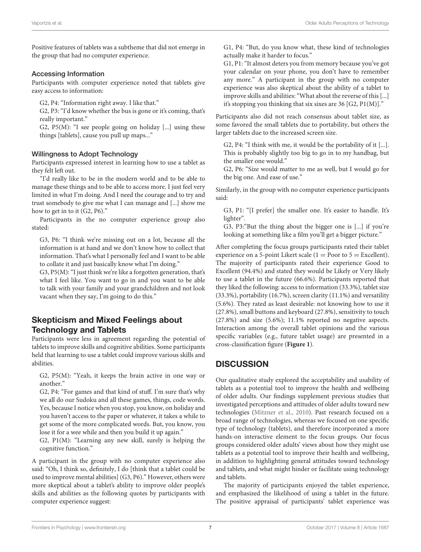Positive features of tablets was a subtheme that did not emerge in the group that had no computer experience.

#### Accessing Information

Participants with computer experience noted that tablets give easy access to information:

G2, P4: "Information right away. I like that."

G2, P3: "I'd know whether the bus is gone or it's coming, that's really important."

G2,  $P5(M)$ : "I see people going on holiday [...] using these things [tablets], cause you pull up maps..."

#### Willingness to Adopt Technology

Participants expressed interest in learning how to use a tablet as they felt left out.

"I'd really like to be in the modern world and to be able to manage these things and to be able to access more. I just feel very limited in what I'm doing. And I need the courage and to try and trust somebody to give me what I can manage and [...] show me how to get in to it (G2, P6)."

Participants in the no computer experience group also stated:

G3, P6: "I think we're missing out on a lot, because all the information is at hand and we don't know how to collect that information. That's what I personally feel and I want to be able to collate it and just basically know what I'm doing."

G3, P5(M): "I just think we're like a forgotten generation, that's what I feel like. You want to go in and you want to be able to talk with your family and your grandchildren and not look vacant when they say, I'm going to do this."

# Skepticism and Mixed Feelings about Technology and Tablets

Participants were less in agreement regarding the potential of tablets to improve skills and cognitive abilities. Some participants held that learning to use a tablet could improve various skills and abilities.

G2, P5(M): "Yeah, it keeps the brain active in one way or another."

G2, P4: "For games and that kind of stuff. I'm sure that's why we all do our Sudoku and all these games, things, code words. Yes, because I notice when you stop, you know, on holiday and you haven't access to the paper or whatever, it takes a while to get some of the more complicated words. But, you know, you lose it for a wee while and then you build it up again."

G2, P1(M): "Learning any new skill, surely is helping the cognitive function."

A participant in the group with no computer experience also said: "Oh, I think so, definitely, I do [think that a tablet could be used to improve mental abilities] (G3, P6)." However, others were more skeptical about a tablet's ability to improve older people's skills and abilities as the following quotes by participants with computer experience suggest:

G1, P4: "But, do you know what, these kind of technologies actually make it harder to focus."

G1, P1: "It almost deters you from memory because you've got your calendar on your phone, you don't have to remember any more." A participant in the group with no computer experience was also skeptical about the ability of a tablet to improve skills and abilities: "What about the reverse of this[...] it's stopping you thinking that six sixes are 36 [G2,  $P1(M)$ ]."

Participants also did not reach consensus about tablet size, as some favored the small tablets due to portability, but others the larger tablets due to the increased screen size.

G2, P4: "I think with me, it would be the portability of it [...]. This is probably slightly too big to go in to my handbag, but the smaller one would."

G2, P6: "Size would matter to me as well, but I would go for the big one. And ease of use."

Similarly, in the group with no computer experience participants said:

G3, P1: "[I prefer] the smaller one. It's easier to handle. It's lighter".

G3, P3:"But the thing about the bigger one is [...] if you're looking at something like a film you'll get a bigger picture."

After completing the focus groups participants rated their tablet experience on a 5-point Likert scale ( $1 =$  Poor to  $5 =$  Excellent). The majority of participants rated their experience Good to Excellent (94.4%) and stated they would be Likely or Very likely to use a tablet in the future (66.6%). Participants reported that they liked the following: access to information (33.3%), tablet size (33.3%), portability (16.7%), screen clarity (11.1%) and versatility (5.6%). They rated as least desirable: not knowing how to use it (27.8%), small buttons and keyboard (27.8%), sensitivity to touch (27.8%) and size (5.6%); 11.1% reported no negative aspects. Interaction among the overall tablet opinions and the various specific variables (e.g., future tablet usage) are presented in a cross-classification figure (**[Figure 1](#page-7-0)**).

# **DISCUSSION**

Our qualitative study explored the acceptability and usability of tablets as a potential tool to improve the health and wellbeing of older adults. Our findings supplement previous studies that investigated perceptions and attitudes of older adults toward new technologies [\(Mitzner et al., 2010\)](#page-10-9). Past research focused on a broad range of technologies, whereas we focused on one specific type of technology (tablets), and therefore incorporated a more hands-on interactive element to the focus groups. Our focus groups considered older adults' views about how they might use tablets as a potential tool to improve their health and wellbeing, in addition to highlighting general attitudes toward technology and tablets, and what might hinder or facilitate using technology and tablets.

The majority of participants enjoyed the tablet experience, and emphasized the likelihood of using a tablet in the future. The positive appraisal of participants' tablet experience was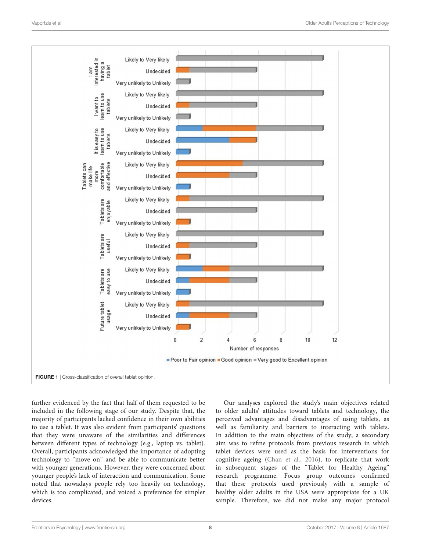

<span id="page-7-0"></span>further evidenced by the fact that half of them requested to be included in the following stage of our study. Despite that, the majority of participants lacked confidence in their own abilities to use a tablet. It was also evident from participants' questions that they were unaware of the similarities and differences between different types of technology (e.g., laptop vs. tablet). Overall, participants acknowledged the importance of adopting technology to "move on" and be able to communicate better with younger generations. However, they were concerned about younger people's lack of interaction and communication. Some noted that nowadays people rely too heavily on technology, which is too complicated, and voiced a preference for simpler devices.

Our analyses explored the study's main objectives related to older adults' attitudes toward tablets and technology, the perceived advantages and disadvantages of using tablets, as well as familiarity and barriers to interacting with tablets. In addition to the main objectives of the study, a secondary aim was to refine protocols from previous research in which tablet devices were used as the basis for interventions for cognitive ageing [\(Chan et al., 2016\)](#page-10-7), to replicate that work in subsequent stages of the "Tablet for Healthy Ageing" research programme. Focus group outcomes confirmed that these protocols used previously with a sample of healthy older adults in the USA were appropriate for a UK sample. Therefore, we did not make any major protocol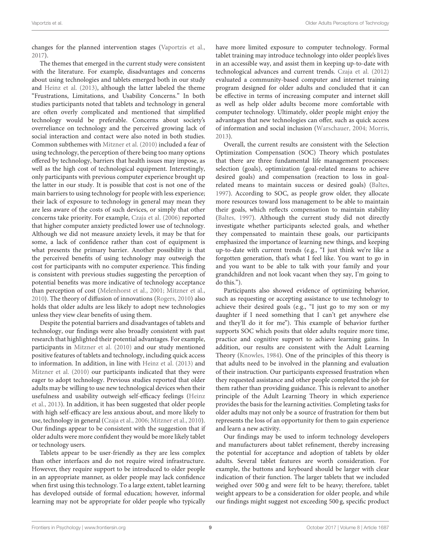changes for the planned intervention stages [\(Vaportzis et al.,](#page-10-19) [2017\)](#page-10-19).

The themes that emerged in the current study were consistent with the literature. For example, disadvantages and concerns about using technologies and tablets emerged both in our study and [Heinz et al. \(2013\)](#page-10-2), although the latter labeled the theme "Frustrations, Limitations, and Usability Concerns." In both studies participants noted that tablets and technology in general are often overly complicated and mentioned that simplified technology would be preferable. Concerns about society's overreliance on technology and the perceived growing lack of social interaction and contact were also noted in both studies. Common subthemes with [Mitzner et al. \(2010\)](#page-10-9) included a fear of using technology, the perception of there being too many options offered by technology, barriers that health issues may impose, as well as the high cost of technological equipment. Interestingly, only participants with previous computer experience brought up the latter in our study. It is possible that cost is not one of the main barriers to using technology for people with less experience; their lack of exposure to technology in general may mean they are less aware of the costs of such devices, or simply that other concerns take priority. For example, [Czaja et al. \(2006\)](#page-10-1) reported that higher computer anxiety predicted lower use of technology. Although we did not measure anxiety levels, it may be that for some, a lack of confidence rather than cost of equipment is what presents the primary barrier. Another possibility is that the perceived benefits of using technology may outweigh the cost for participants with no computer experience. This finding is consistent with previous studies suggesting the perception of potential benefits was more indicative of technology acceptance than perception of cost [\(Melenhorst et al., 2001;](#page-10-22) [Mitzner et al.,](#page-10-9) [2010\)](#page-10-9). The theory of diffusion of innovations [\(Rogers, 2010\)](#page-10-23) also holds that older adults are less likely to adopt new technologies unless they view clear benefits of using them.

Despite the potential barriers and disadvantages of tablets and technology, our findings were also broadly consistent with past research that highlighted their potential advantages. For example, participants in [Mitzner et al. \(2010\)](#page-10-9) and our study mentioned positive features of tablets and technology, including quick access to information. In addition, in line with [Heinz et al. \(2013\)](#page-10-2) and [Mitzner et al. \(2010\)](#page-10-9) our participants indicated that they were eager to adopt technology. Previous studies reported that older adults may be willing to use new technological devices when their usefulness and usability outweigh self-efficacy feelings (Heinz et al., [2013\)](#page-10-2). In addition, it has been suggested that older people with high self-efficacy are less anxious about, and more likely to use, technology in general [\(Czaja et al., 2006;](#page-10-1) [Mitzner et al., 2010\)](#page-10-9). Our findings appear to be consistent with the suggestion that if older adults were more confident they would be more likely tablet or technology users.

Tablets appear to be user-friendly as they are less complex than other interfaces and do not require wired infrastructure. However, they require support to be introduced to older people in an appropriate manner, as older people may lack confidence when first using this technology. To a large extent, tablet learning has developed outside of formal education; however, informal learning may not be appropriate for older people who typically have more limited exposure to computer technology. Formal tablet training may introduce technology into older people's lives in an accessible way, and assist them in keeping up-to-date with technological advances and current trends. [Czaja et al. \(2012\)](#page-10-24) evaluated a community-based computer and internet training program designed for older adults and concluded that it can be effective in terms of increasing computer and internet skill as well as help older adults become more comfortable with computer technology. Ultimately, older people might enjoy the advantages that new technologies can offer, such as quick access of information and social inclusion [\(Warschauer, 2004;](#page-10-25) [Morris,](#page-10-26) [2013\)](#page-10-26).

Overall, the current results are consistent with the Selection Optimization Compensation (SOC) Theory which postulates that there are three fundamental life management processes: selection (goals), optimization (goal-related means to achieve desired goals) and compensation (reaction to loss in goalrelated means to maintain success or desired goals) [\(Baltes,](#page-10-27) [1997\)](#page-10-27). According to SOC, as people grow older, they allocate more resources toward loss management to be able to maintain their goals, which reflects compensation to maintain stability [\(Baltes, 1997\)](#page-10-27). Although the current study did not directly investigate whether participants selected goals, and whether they compensated to maintain these goals, our participants emphasized the importance of learning new things, and keeping up-to-date with current trends (e.g., "I just think we're like a forgotten generation, that's what I feel like. You want to go in and you want to be able to talk with your family and your grandchildren and not look vacant when they say, I'm going to do this.").

Participants also showed evidence of optimizing behavior, such as requesting or accepting assistance to use technology to achieve their desired goals (e.g., "I just go to my son or my daughter if I need something that I can't get anywhere else and they'll do it for me"). This example of behavior further supports SOC which posits that older adults require more time, practice and cognitive support to achieve learning gains. In addition, our results are consistent with the Adult Learning Theory [\(Knowles, 1984\)](#page-10-28). One of the principles of this theory is that adults need to be involved in the planning and evaluation of their instruction. Our participants expressed frustration when they requested assistance and other people completed the job for them rather than providing guidance. This is relevant to another principle of the Adult Learning Theory in which experience provides the basis for the learning activities. Completing tasks for older adults may not only be a source of frustration for them but represents the loss of an opportunity for them to gain experience and learn a new activity.

Our findings may be used to inform technology developers and manufacturers about tablet refinement, thereby increasing the potential for acceptance and adoption of tablets by older adults. Several tablet features are worth consideration. For example, the buttons and keyboard should be larger with clear indication of their function. The larger tablets that we included weighed over 500 g and were felt to be heavy; therefore, tablet weight appears to be a consideration for older people, and while our findings might suggest not exceeding 500 g, specific product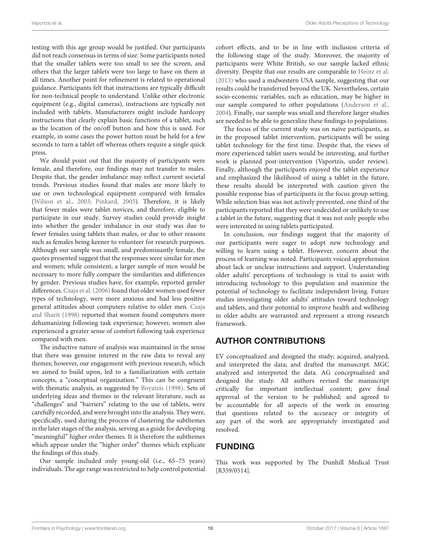testing with this age group would be justified. Our participants did not reach consensus in terms of size. Some participants noted that the smaller tablets were too small to see the screen, and others that the larger tablets were too large to have on them at all times. Another point for refinement is related to operational guidance. Participants felt that instructions are typically difficult for non-technical people to understand. Unlike other electronic equipment (e.g., digital cameras), instructions are typically not included with tablets. Manufacturers might include hardcopy instructions that clearly explain basic functions of a tablet, such as the location of the on/off button and how this is used. For example, in some cases the power button must be held for a few seconds to turn a tablet off whereas others require a single quick press.

We should point out that the majority of participants were female, and therefore, our findings may not transfer to males. Despite that, the gender imbalance may reflect current societal trends. Previous studies found that males are more likely to use or own technological equipment compared with females [\(Wilson et al., 2003;](#page-10-29) [Pinkard, 2005\)](#page-10-30). Therefore, it is likely that fewer males were tablet novices, and therefore, eligible to participate in our study. Survey studies could provide insight into whether the gender imbalance in our study was due to fewer females using tablets than males, or due to other reasons such as females being keener to volunteer for research purposes. Although our sample was small, and predominantly female, the quotes presented suggest that the responses were similar for men and women; while consistent, a larger sample of men would be necessary to more fully compare the similarities and differences by gender. Previous studies have, for example, reported gender differences. [Czaja et al. \(2006\)](#page-10-1) found that older women used fewer types of technology, were more anxious and had less positive general attitudes about computers relative to older men. Czaja and Sharit [\(1998\)](#page-10-10) reported that women found computers more dehumanizing following task experience; however, women also experienced a greater sense of comfort following task experience compared with men.

The inductive nature of analysis was maintained in the sense that there was genuine interest in the raw data to reveal any themes; however, our engagement with previous research, which we aimed to build upon, led to a familiarization with certain concepts, a "conceptual organization." This can be congruent with thematic analysis, as suggested by [Boyatzis \(1998\)](#page-10-20). Sets of underlying ideas and themes in the relevant literature, such as "challenges" and "barriers" relating to the use of tablets, were carefully recorded, and were brought into the analysis. They were, specifically, used during the process of clustering the subthemes in the later stages of the analysis, serving as a guide for developing "meaningful" higher order themes. It is therefore the subthemes which appear under the "higher order" themes which explicate the findings of this study.

Our sample included only young-old (i.e., 65–75 years) individuals. The age range was restricted to help control potential cohort effects, and to be in line with inclusion criteria of the following stage of the study. Moreover, the majority of participants were White British, so our sample lacked ethnic diversity. Despite that our results are comparable to [Heinz et al.](#page-10-2) [\(2013\)](#page-10-2) who used a midwestern USA sample, suggesting that our results could be transferred beyond the UK. Nevertheless, certain socio-economic variables, such as education, may be higher in our sample compared to other populations [\(Anderson et al.,](#page-10-31) [2004\)](#page-10-31). Finally, our sample was small and therefore larger studies are needed to be able to generalize these findings to populations.

The focus of the current study was on naïve participants, as in the proposed tablet intervention, participants will be using tablet technology for the first time. Despite that, the views of more experienced tablet users would be interesting, and further work is planned post-intervention (Vaportzis, under review). Finally, although the participants enjoyed the tablet experience and emphasized the likelihood of using a tablet in the future, these results should be interpreted with caution given the possible response bias of participants in the focus group setting. While selection bias was not actively prevented, one third of the participants reported that they were undecided or unlikely to use a tablet in the future, suggesting that it was not only people who were interested in using tablets participated.

In conclusion, our findings suggest that the majority of our participants were eager to adopt new technology and willing to learn using a tablet. However, concern about the process of learning was noted. Participants voiced apprehension about lack or unclear instructions and support. Understanding older adults' perceptions of technology is vital to assist with introducing technology to this population and maximize the potential of technology to facilitate independent living. Future studies investigating older adults' attitudes toward technology and tablets, and their potential to improve health and wellbeing in older adults are warranted and represent a strong research framework.

# AUTHOR CONTRIBUTIONS

EV conceptualized and designed the study; acquired, analyzed, and interpreted the data; and drafted the manuscript. MGC analyzed and interpreted the data. AG conceptualized and designed the study. All authors revised the manuscript critically for important intellectual content; gave final approval of the version to be published; and agreed to be accountable for all aspects of the work in ensuring that questions related to the accuracy or integrity of any part of the work are appropriately investigated and resolved.

# FUNDING

This work was supported by The Dunhill Medical Trust [R359/0514].